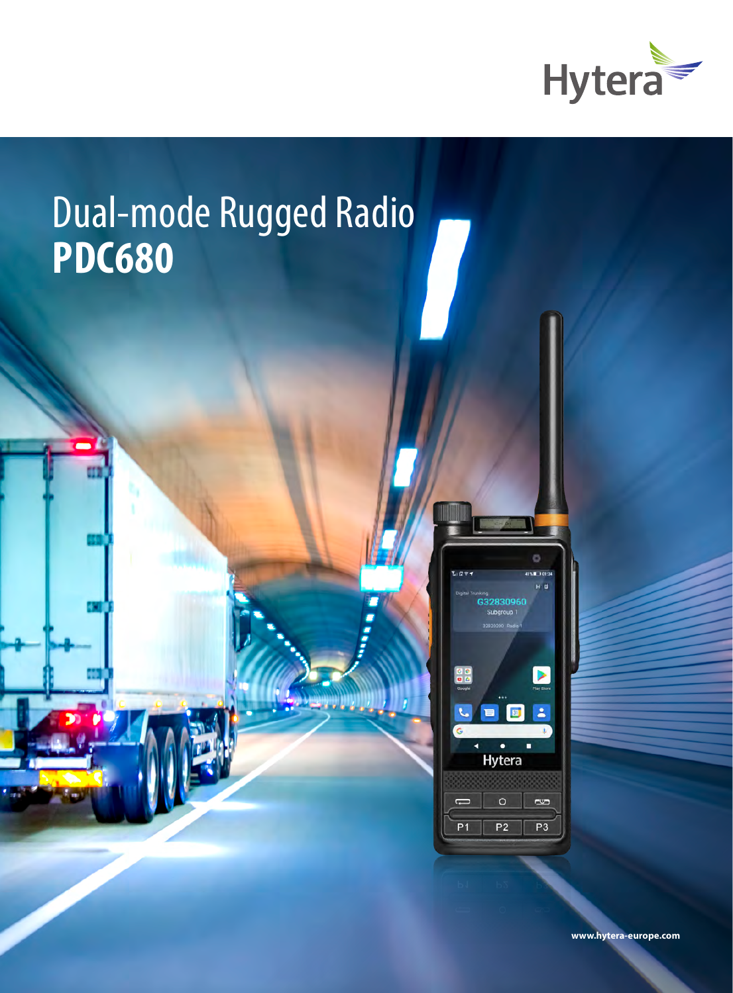

# Dual-mode Rugged Radio **PDC680**



**www.hytera-europe.com**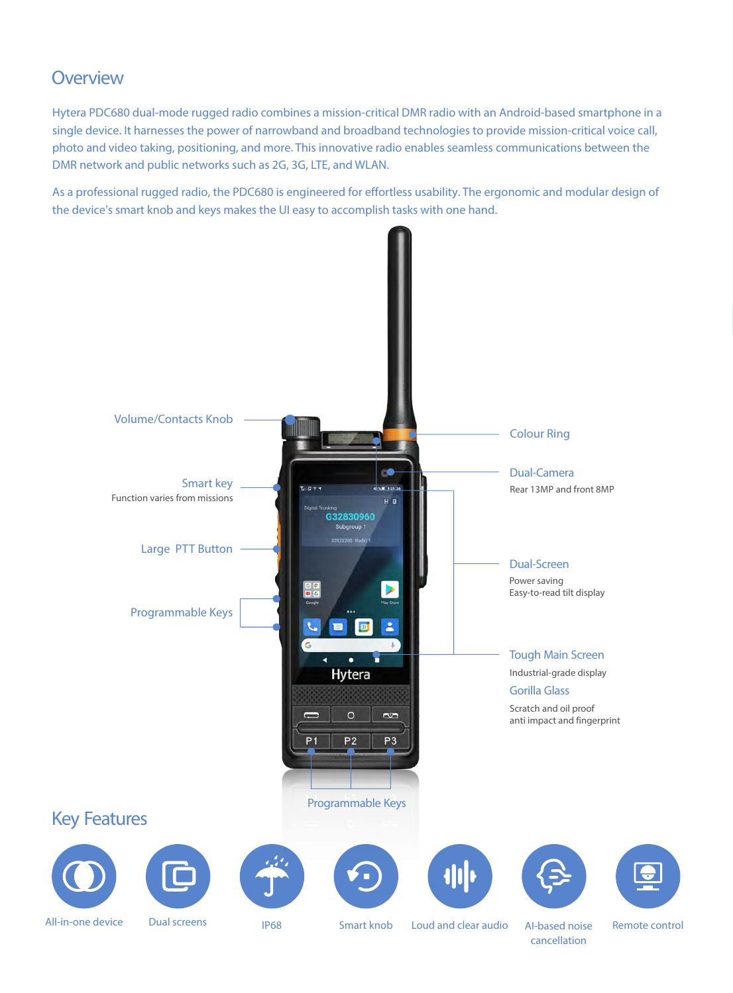### **Overview**

Hytera PDC680 dual-mode rugged radio combines a mission-critical DMR radio with an Android-based smartphone in a single device. It harnesses the power of narrowband and broadband technologies to provide mission-critical voice call, photo and video taking, positioning, and more. This innovative radio enables seamless communications between the DMR network and public networks such as 2G, 3G, LTE, and WLAN.

As a professional rugged radio, the PDC680 is engineered for effortless usability. The ergonomic and modular design of the device's smart knob and keys makes the UI easy to accomplish tasks with one hand.



cancellation

Remote control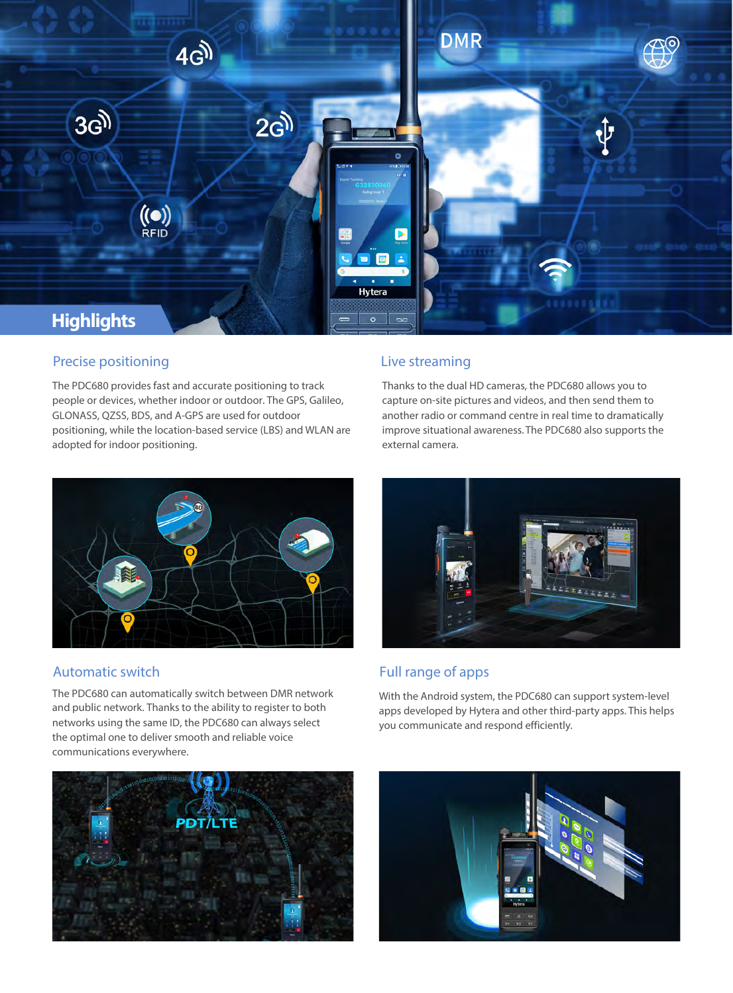

### Precise positioning

The PDC680 provides fast and accurate positioning to track people or devices, whether indoor or outdoor. The GPS, Galileo, GLONASS, QZSS, BDS, and A-GPS are used for outdoor positioning, while the location-based service (LBS) and WLAN are adopted for indoor positioning.

### Live streaming

Thanks to the dual HD cameras, the PDC680 allows you to capture on-site pictures and videos, and then send them to another radio or command centre in real time to dramatically improve situational awareness. The PDC680 also supports the external camera.



### Automatic switch

The PDC680 can automatically switch between DMR network and public network. Thanks to the ability to register to both networks using the same ID, the PDC680 can always select the optimal one to deliver smooth and reliable voice communications everywhere.





### Full range of apps

With the Android system, the PDC680 can support system-level apps developed by Hytera and other third-party apps. This helps you communicate and respond efficiently.

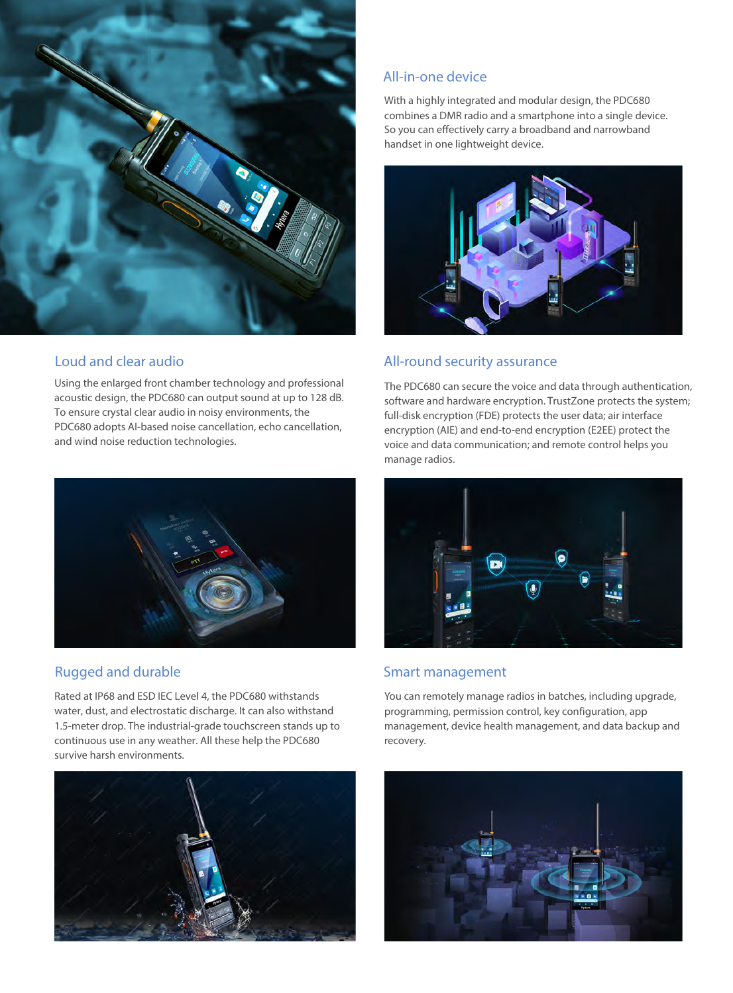

### Loud and clear audio

Using the enlarged front chamber technology and professional acoustic design, the PDC680 can output sound at up to 128 dB. To ensure crystal clear audio in noisy environments, the PDC680 adopts AI-based noise cancellation, echo cancellation, and wind noise reduction technologies.



### Rugged and durable

Rated at IP68 and ESD IEC Level 4, the PDC680 withstands water, dust, and electrostatic discharge. It can also withstand 1.5-meter drop. The industrial-grade touchscreen stands up to continuous use in any weather. All these help the PDC680 survive harsh environments.



### All-in-one device

With a highly integrated and modular design, the PDC680 combines a DMR radio and a smartphone into a single device. So you can effectively carry a broadband and narrowband handset in one lightweight device.



### All-round security assurance

The PDC680 can secure the voice and data through authentication, software and hardware encryption. TrustZone protects the system; full-disk encryption (FDE) protects the user data; air interface encryption (AIE) and end-to-end encryption (E2EE) protect the voice and data communication; and remote control helps you manage radios.



### Smart management

You can remotely manage radios in batches, including upgrade, programming, permission control, key configuration, app management, device health management, and data backup and recovery.

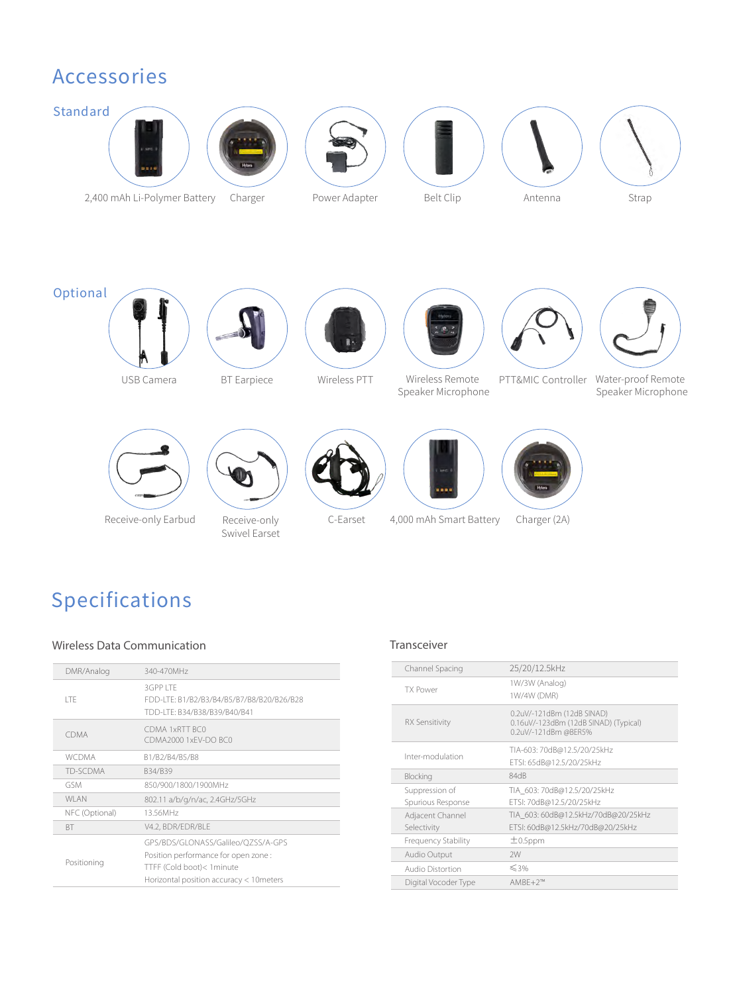### Accessories



## Specifications

### Wireless Data Communication Transceiver

| DMR/Analog     | 340-470MHz                                                                                                                                          |
|----------------|-----------------------------------------------------------------------------------------------------------------------------------------------------|
| <b>ITF</b>     | 3GPP LTF<br>FDD-LTE: B1/B2/B3/B4/B5/B7/B8/B20/B26/B28<br>TDD-LTE: B34/B38/B39/B40/B41                                                               |
| CDMA           | CDMA 1xRTT BC0<br>CDMA2000 1xEV-DO BC0                                                                                                              |
| <b>WCDMA</b>   | B1/B2/B4/B5/B8                                                                                                                                      |
| TD-SCDMA       | B34/B39                                                                                                                                             |
| GSM            | 850/900/1800/1900MHz                                                                                                                                |
| <b>WLAN</b>    | 802.11 a/b/g/n/ac, 2.4GHz/5GHz                                                                                                                      |
| NFC (Optional) | 13.56MHz                                                                                                                                            |
| <b>BT</b>      | V4.2, BDR/EDR/BLE                                                                                                                                   |
| Positioning    | GPS/BDS/GLONASS/Galileo/QZSS/A-GPS<br>Position performance for open zone :<br>TTFF (Cold boot)< 1 minute<br>Horizontal position accuracy < 10meters |

| Channel Spacing                     | 25/20/12.5kHz                                                                               |
|-------------------------------------|---------------------------------------------------------------------------------------------|
| <b>TX Power</b>                     | 1W/3W (Analog)<br>1W/4W (DMR)                                                               |
| <b>RX Sensitivity</b>               | 0.2uV/-121dBm (12dB SINAD)<br>0.16uV/-123dBm (12dB SINAD) (Typical)<br>0.2uV/-121dBm @BER5% |
| Inter-modulation                    | TIA-603: 70dB@12.5/20/25kHz<br>ETSI: 65dB@12.5/20/25kHz                                     |
| Blocking                            | 84dB                                                                                        |
| Suppression of<br>Spurious Response | TIA 603: 70dB@12.5/20/25kHz<br>ETSI: 70dB@12.5/20/25kHz                                     |
| Adjacent Channel<br>Selectivity     | TIA 603: 60dB@12.5kHz/70dB@20/25kHz<br>ETSI: 60dB@12.5kHz/70dB@20/25kHz                     |
| <b>Frequency Stability</b>          | $\pm$ 0.5ppm                                                                                |
| Audio Output                        | 2W                                                                                          |
| <b>Audio Distortion</b>             | $\leq 3\%$                                                                                  |
| Digital Vocoder Type                | $AMBF+2^{m}$                                                                                |